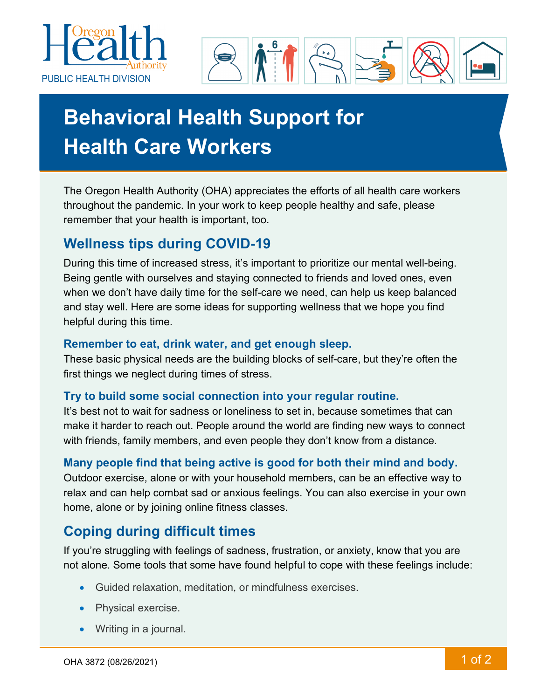



# **Behavioral Health Support for Health Care Workers**

The Oregon Health Authority (OHA) appreciates the efforts of all health care workers throughout the pandemic. In your work to keep people healthy and safe, please remember that your health is important, too.

## **Wellness tips during COVID-19**

During this time of increased stress, it's important to prioritize our mental well-being. Being gentle with ourselves and staying connected to friends and loved ones, even when we don't have daily time for the self-care we need, can help us keep balanced and stay well. Here are some ideas for supporting wellness that we hope you find helpful during this time.

#### **Remember to eat, drink water, and get enough sleep.**

These basic physical needs are the building blocks of self-care, but they're often the first things we neglect during times of stress.

#### **Try to build some social connection into your regular routine.**

It's best not to wait for sadness or loneliness to set in, because sometimes that can make it harder to reach out. People around the world are finding new ways to connect with friends, family members, and even people they don't know from a distance.

#### **Many people find that being active is good for both their mind and body.**

Outdoor exercise, alone or with your household members, can be an effective way to relax and can help combat sad or anxious feelings. You can also exercise in your own home, alone or by joining online fitness classes.

## **Coping during difficult times**

If you're struggling with feelings of sadness, frustration, or anxiety, know that you are not alone. Some tools that some have found helpful to cope with these feelings include:

- Guided relaxation, meditation, or mindfulness exercises.
- Physical exercise.
- Writing in a journal.